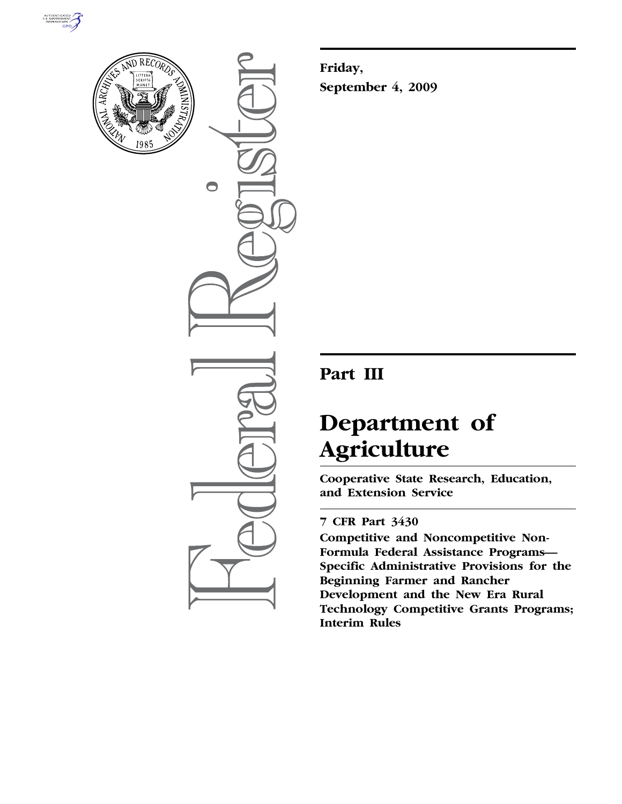



 $\bullet$ 

**Friday, September 4, 2009** 

## **Part III**

# **Department of Agriculture**

**Cooperative State Research, Education, and Extension Service** 

## **7 CFR Part 3430**

**Competitive and Noncompetitive Non-Formula Federal Assistance Programs— Specific Administrative Provisions for the Beginning Farmer and Rancher Development and the New Era Rural Technology Competitive Grants Programs; Interim Rules**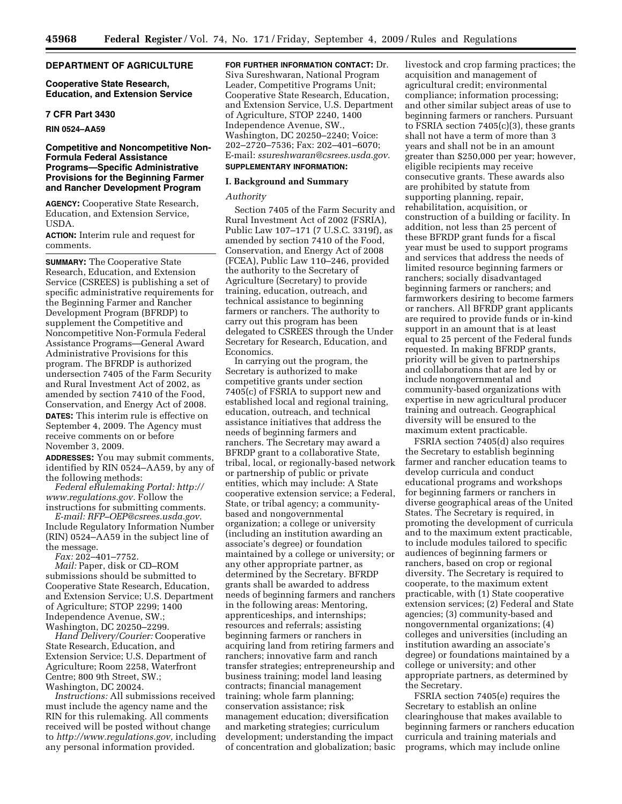#### **DEPARTMENT OF AGRICULTURE**

#### **Cooperative State Research, Education, and Extension Service**

#### **7 CFR Part 3430**

**RIN 0524–AA59** 

#### **Competitive and Noncompetitive Non-Formula Federal Assistance Programs—Specific Administrative Provisions for the Beginning Farmer and Rancher Development Program**

**AGENCY:** Cooperative State Research, Education, and Extension Service, USDA.

**ACTION:** Interim rule and request for comments.

**SUMMARY:** The Cooperative State Research, Education, and Extension Service (CSREES) is publishing a set of specific administrative requirements for the Beginning Farmer and Rancher Development Program (BFRDP) to supplement the Competitive and Noncompetitive Non-Formula Federal Assistance Programs—General Award Administrative Provisions for this program. The BFRDP is authorized undersection 7405 of the Farm Security and Rural Investment Act of 2002, as amended by section 7410 of the Food, Conservation, and Energy Act of 2008. **DATES:** This interim rule is effective on September 4, 2009. The Agency must receive comments on or before November 3, 2009.

**ADDRESSES:** You may submit comments, identified by RIN 0524–AA59, by any of the following methods:

*Federal eRulemaking Portal: http:// www.regulations.gov.* Follow the instructions for submitting comments.

*E-mail: RFP–OEP@csrees.usda.gov.*  Include Regulatory Information Number (RIN) 0524–AA59 in the subject line of the message.

*Fax:* 202–401–7752.

*Mail:* Paper, disk or CD–ROM submissions should be submitted to Cooperative State Research, Education, and Extension Service; U.S. Department of Agriculture; STOP 2299; 1400 Independence Avenue, SW.; Washington, DC 20250–2299.

*Hand Delivery/Courier:* Cooperative State Research, Education, and Extension Service; U.S. Department of Agriculture; Room 2258, Waterfront Centre; 800 9th Street, SW.; Washington, DC 20024.

*Instructions:* All submissions received must include the agency name and the RIN for this rulemaking. All comments received will be posted without change to *http://www.regulations.gov,* including any personal information provided.

**FOR FURTHER INFORMATION CONTACT:** Dr. Siva Sureshwaran, National Program Leader, Competitive Programs Unit; Cooperative State Research, Education, and Extension Service, U.S. Department of Agriculture, STOP 2240, 1400 Independence Avenue, SW., Washington, DC 20250–2240; Voice: 202–2720–7536; Fax: 202–401–6070; E-mail: *ssureshwaran@csrees.usda.gov.* 

### **SUPPLEMENTARY INFORMATION:**

#### **I. Background and Summary**

#### *Authority*

Section 7405 of the Farm Security and Rural Investment Act of 2002 (FSRIA), Public Law 107–171 (7 U.S.C. 3319f), as amended by section 7410 of the Food, Conservation, and Energy Act of 2008 (FCEA), Public Law 110–246, provided the authority to the Secretary of Agriculture (Secretary) to provide training, education, outreach, and technical assistance to beginning farmers or ranchers. The authority to carry out this program has been delegated to CSREES through the Under Secretary for Research, Education, and Economics.

In carrying out the program, the Secretary is authorized to make competitive grants under section 7405(c) of FSRIA to support new and established local and regional training, education, outreach, and technical assistance initiatives that address the needs of beginning farmers and ranchers. The Secretary may award a BFRDP grant to a collaborative State, tribal, local, or regionally-based network or partnership of public or private entities, which may include: A State cooperative extension service; a Federal, State, or tribal agency; a communitybased and nongovernmental organization; a college or university (including an institution awarding an associate's degree) or foundation maintained by a college or university; or any other appropriate partner, as determined by the Secretary. BFRDP grants shall be awarded to address needs of beginning farmers and ranchers in the following areas: Mentoring, apprenticeships, and internships; resources and referrals; assisting beginning farmers or ranchers in acquiring land from retiring farmers and ranchers; innovative farm and ranch transfer strategies; entrepreneurship and business training; model land leasing contracts; financial management training; whole farm planning; conservation assistance; risk management education; diversification and marketing strategies; curriculum development; understanding the impact of concentration and globalization; basic

livestock and crop farming practices; the acquisition and management of agricultural credit; environmental compliance; information processing; and other similar subject areas of use to beginning farmers or ranchers. Pursuant to FSRIA section 7405(c)(3), these grants shall not have a term of more than 3 years and shall not be in an amount greater than \$250,000 per year; however, eligible recipients may receive consecutive grants. These awards also are prohibited by statute from supporting planning, repair, rehabilitation, acquisition, or construction of a building or facility. In addition, not less than 25 percent of these BFRDP grant funds for a fiscal year must be used to support programs and services that address the needs of limited resource beginning farmers or ranchers; socially disadvantaged beginning farmers or ranchers; and farmworkers desiring to become farmers or ranchers. All BFRDP grant applicants are required to provide funds or in-kind support in an amount that is at least equal to 25 percent of the Federal funds requested. In making BFRDP grants, priority will be given to partnerships and collaborations that are led by or include nongovernmental and community-based organizations with expertise in new agricultural producer training and outreach. Geographical diversity will be ensured to the maximum extent practicable.

FSRIA section 7405(d) also requires the Secretary to establish beginning farmer and rancher education teams to develop curricula and conduct educational programs and workshops for beginning farmers or ranchers in diverse geographical areas of the United States. The Secretary is required, in promoting the development of curricula and to the maximum extent practicable, to include modules tailored to specific audiences of beginning farmers or ranchers, based on crop or regional diversity. The Secretary is required to cooperate, to the maximum extent practicable, with (1) State cooperative extension services; (2) Federal and State agencies; (3) community-based and nongovernmental organizations; (4) colleges and universities (including an institution awarding an associate's degree) or foundations maintained by a college or university; and other appropriate partners, as determined by the Secretary.

FSRIA section 7405(e) requires the Secretary to establish an online clearinghouse that makes available to beginning farmers or ranchers education curricula and training materials and programs, which may include online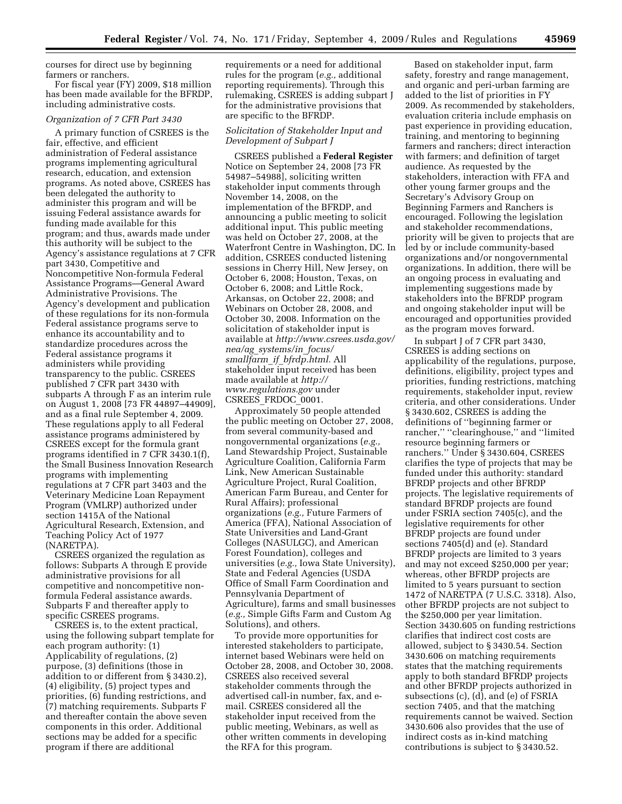courses for direct use by beginning farmers or ranchers.

For fiscal year (FY) 2009, \$18 million has been made available for the BFRDP, including administrative costs.

#### *Organization of 7 CFR Part 3430*

A primary function of CSREES is the fair, effective, and efficient administration of Federal assistance programs implementing agricultural research, education, and extension programs. As noted above, CSREES has been delegated the authority to administer this program and will be issuing Federal assistance awards for funding made available for this program; and thus, awards made under this authority will be subject to the Agency's assistance regulations at 7 CFR part 3430, Competitive and Noncompetitive Non-formula Federal Assistance Programs—General Award Administrative Provisions. The Agency's development and publication of these regulations for its non-formula Federal assistance programs serve to enhance its accountability and to standardize procedures across the Federal assistance programs it administers while providing transparency to the public. CSREES published 7 CFR part 3430 with subparts A through F as an interim rule on August 1, 2008 [73 FR 44897–44909], and as a final rule September 4, 2009. These regulations apply to all Federal assistance programs administered by CSREES except for the formula grant programs identified in 7 CFR 3430.1(f), the Small Business Innovation Research programs with implementing regulations at 7 CFR part 3403 and the Veterinary Medicine Loan Repayment Program (VMLRP) authorized under section 1415A of the National Agricultural Research, Extension, and Teaching Policy Act of 1977 (NARETPA).

CSREES organized the regulation as follows: Subparts A through E provide administrative provisions for all competitive and noncompetitive nonformula Federal assistance awards. Subparts F and thereafter apply to specific CSREES programs.

CSREES is, to the extent practical, using the following subpart template for each program authority: (1) Applicability of regulations, (2) purpose, (3) definitions (those in addition to or different from § 3430.2), (4) eligibility, (5) project types and priorities, (6) funding restrictions, and (7) matching requirements. Subparts F and thereafter contain the above seven components in this order. Additional sections may be added for a specific program if there are additional

requirements or a need for additional rules for the program (*e.g.,* additional reporting requirements). Through this rulemaking, CSREES is adding subpart J for the administrative provisions that are specific to the BFRDP.

#### *Solicitation of Stakeholder Input and Development of Subpart J*

CSREES published a **Federal Register**  Notice on September 24, 2008 [73 FR 54987–54988], soliciting written stakeholder input comments through November 14, 2008, on the implementation of the BFRDP, and announcing a public meeting to solicit additional input. This public meeting was held on October 27, 2008, at the Waterfront Centre in Washington, DC. In addition, CSREES conducted listening sessions in Cherry Hill, New Jersey, on October 6, 2008; Houston, Texas, on October 6, 2008; and Little Rock, Arkansas, on October 22, 2008; and Webinars on October 28, 2008, and October 30, 2008. Information on the solicitation of stakeholder input is available at *http://www.csrees.usda.gov/ nea/ag*\_*systems/in*\_*focus/ smallfarm*\_*if*\_*bfrdp.html.* All stakeholder input received has been made available at *http:// www.regulations.gov* under CSREES\_FRDOC\_0001.

Approximately 50 people attended the public meeting on October 27, 2008, from several community-based and nongovernmental organizations (*e.g.,*  Land Stewardship Project, Sustainable Agriculture Coalition, California Farm Link, New American Sustainable Agriculture Project, Rural Coalition, American Farm Bureau, and Center for Rural Affairs); professional organizations (*e.g.,* Future Farmers of America (FFA), National Association of State Universities and Land-Grant Colleges (NASULGC), and American Forest Foundation), colleges and universities (*e.g.,* Iowa State University), State and Federal Agencies (USDA Office of Small Farm Coordination and Pennsylvania Department of Agriculture), farms and small businesses (*e.g.,* Simple Gifts Farm and Custom Ag Solutions), and others.

To provide more opportunities for interested stakeholders to participate, internet based Webinars were held on October 28, 2008, and October 30, 2008. CSREES also received several stakeholder comments through the advertised call-in number, fax, and email. CSREES considered all the stakeholder input received from the public meeting, Webinars, as well as other written comments in developing the RFA for this program.

Based on stakeholder input, farm safety, forestry and range management, and organic and peri-urban farming are added to the list of priorities in FY 2009. As recommended by stakeholders, evaluation criteria include emphasis on past experience in providing education, training, and mentoring to beginning farmers and ranchers; direct interaction with farmers; and definition of target audience. As requested by the stakeholders, interaction with FFA and other young farmer groups and the Secretary's Advisory Group on Beginning Farmers and Ranchers is encouraged. Following the legislation and stakeholder recommendations, priority will be given to projects that are led by or include community-based organizations and/or nongovernmental organizations. In addition, there will be an ongoing process in evaluating and implementing suggestions made by stakeholders into the BFRDP program and ongoing stakeholder input will be encouraged and opportunities provided as the program moves forward.

In subpart J of 7 CFR part 3430, CSREES is adding sections on applicability of the regulations, purpose, definitions, eligibility, project types and priorities, funding restrictions, matching requirements, stakeholder input, review criteria, and other considerations. Under § 3430.602, CSREES is adding the definitions of ''beginning farmer or rancher," "clearinghouse," and "limited resource beginning farmers or ranchers.'' Under § 3430.604, CSREES clarifies the type of projects that may be funded under this authority: standard BFRDP projects and other BFRDP projects. The legislative requirements of standard BFRDP projects are found under FSRIA section 7405(c), and the legislative requirements for other BFRDP projects are found under sections 7405(d) and (e). Standard BFRDP projects are limited to 3 years and may not exceed \$250,000 per year; whereas, other BFRDP projects are limited to 5 years pursuant to section 1472 of NARETPA (7 U.S.C. 3318). Also, other BFRDP projects are not subject to the \$250,000 per year limitation. Section 3430.605 on funding restrictions clarifies that indirect cost costs are allowed, subject to § 3430.54. Section 3430.606 on matching requirements states that the matching requirements apply to both standard BFRDP projects and other BFRDP projects authorized in subsections (c), (d), and (e) of FSRIA section 7405, and that the matching requirements cannot be waived. Section 3430.606 also provides that the use of indirect costs as in-kind matching contributions is subject to § 3430.52.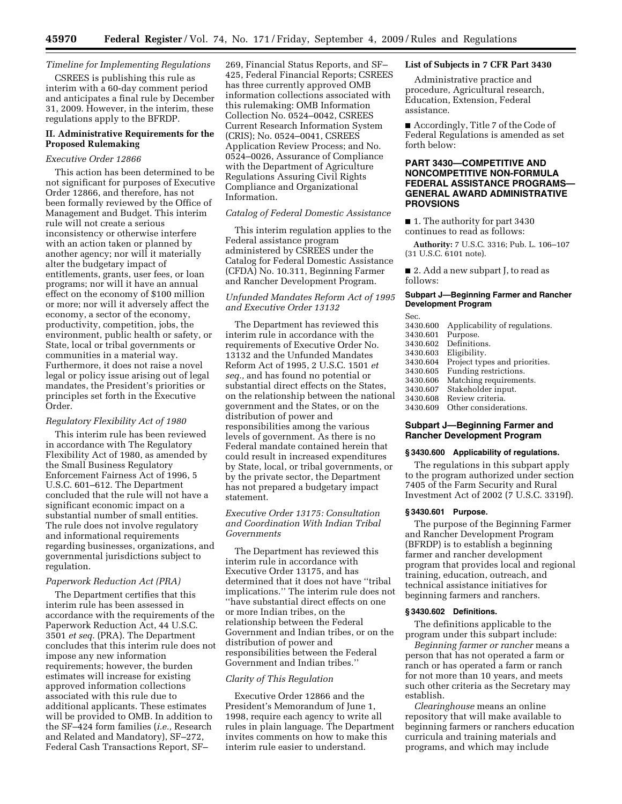#### *Timeline for Implementing Regulations*

CSREES is publishing this rule as interim with a 60-day comment period and anticipates a final rule by December 31, 2009. However, in the interim, these regulations apply to the BFRDP.

#### **II. Administrative Requirements for the Proposed Rulemaking**

#### *Executive Order 12866*

This action has been determined to be not significant for purposes of Executive Order 12866, and therefore, has not been formally reviewed by the Office of Management and Budget. This interim rule will not create a serious inconsistency or otherwise interfere with an action taken or planned by another agency; nor will it materially alter the budgetary impact of entitlements, grants, user fees, or loan programs; nor will it have an annual effect on the economy of \$100 million or more; nor will it adversely affect the economy, a sector of the economy, productivity, competition, jobs, the environment, public health or safety, or State, local or tribal governments or communities in a material way. Furthermore, it does not raise a novel legal or policy issue arising out of legal mandates, the President's priorities or principles set forth in the Executive Order.

#### *Regulatory Flexibility Act of 1980*

This interim rule has been reviewed in accordance with The Regulatory Flexibility Act of 1980, as amended by the Small Business Regulatory Enforcement Fairness Act of 1996, 5 U.S.C. 601–612. The Department concluded that the rule will not have a significant economic impact on a substantial number of small entities. The rule does not involve regulatory and informational requirements regarding businesses, organizations, and governmental jurisdictions subject to regulation.

#### *Paperwork Reduction Act (PRA)*

The Department certifies that this interim rule has been assessed in accordance with the requirements of the Paperwork Reduction Act, 44 U.S.C. 3501 *et seq.* (PRA). The Department concludes that this interim rule does not impose any new information requirements; however, the burden estimates will increase for existing approved information collections associated with this rule due to additional applicants. These estimates will be provided to OMB. In addition to the SF–424 form families (*i.e.,* Research and Related and Mandatory), SF–272, Federal Cash Transactions Report, SF–

269, Financial Status Reports, and SF– 425, Federal Financial Reports; CSREES has three currently approved OMB information collections associated with this rulemaking: OMB Information Collection No. 0524–0042, CSREES Current Research Information System (CRIS); No. 0524–0041, CSREES Application Review Process; and No. 0524–0026, Assurance of Compliance with the Department of Agriculture Regulations Assuring Civil Rights Compliance and Organizational Information.

#### *Catalog of Federal Domestic Assistance*

This interim regulation applies to the Federal assistance program administered by CSREES under the Catalog for Federal Domestic Assistance (CFDA) No. 10.311, Beginning Farmer and Rancher Development Program.

#### *Unfunded Mandates Reform Act of 1995 and Executive Order 13132*

The Department has reviewed this interim rule in accordance with the requirements of Executive Order No. 13132 and the Unfunded Mandates Reform Act of 1995, 2 U.S.C. 1501 *et seq.,* and has found no potential or substantial direct effects on the States, on the relationship between the national government and the States, or on the distribution of power and responsibilities among the various levels of government. As there is no Federal mandate contained herein that could result in increased expenditures by State, local, or tribal governments, or by the private sector, the Department has not prepared a budgetary impact statement.

#### *Executive Order 13175: Consultation and Coordination With Indian Tribal Governments*

The Department has reviewed this interim rule in accordance with Executive Order 13175, and has determined that it does not have ''tribal implications.'' The interim rule does not ''have substantial direct effects on one or more Indian tribes, on the relationship between the Federal Government and Indian tribes, or on the distribution of power and responsibilities between the Federal Government and Indian tribes.''

#### *Clarity of This Regulation*

Executive Order 12866 and the President's Memorandum of June 1, 1998, require each agency to write all rules in plain language. The Department invites comments on how to make this interim rule easier to understand.

#### **List of Subjects in 7 CFR Part 3430**

Administrative practice and procedure, Agricultural research, Education, Extension, Federal assistance.

■ Accordingly, Title 7 of the Code of Federal Regulations is amended as set forth below:

#### **PART 3430—COMPETITIVE AND NONCOMPETITIVE NON-FORMULA FEDERAL ASSISTANCE PROGRAMS— GENERAL AWARD ADMINISTRATIVE PROVSIONS**

■ 1. The authority for part 3430 continues to read as follows:

**Authority:** 7 U.S.C. 3316; Pub. L. 106–107 (31 U.S.C. 6101 note).

■ 2. Add a new subpart J, to read as follows:

#### **Subpart J—Beginning Farmer and Rancher Development Program**

Sec.<br>3430.600 3430.600 Applicability of regulations. Purpose. 3430.602 Definitions. 3430.603 Eligibility. 3430.604 Project types and priorities. Funding restrictions. 3430.606 Matching requirements.<br>3430.607 Stakeholder input. Stakeholder input. 3430.608 Review criteria. Other considerations.

#### **Subpart J—Beginning Farmer and Rancher Development Program**

#### **§ 3430.600 Applicability of regulations.**

The regulations in this subpart apply to the program authorized under section 7405 of the Farm Security and Rural Investment Act of 2002 (7 U.S.C. 3319f).

#### **§ 3430.601 Purpose.**

The purpose of the Beginning Farmer and Rancher Development Program (BFRDP) is to establish a beginning farmer and rancher development program that provides local and regional training, education, outreach, and technical assistance initiatives for beginning farmers and ranchers.

#### **§ 3430.602 Definitions.**

The definitions applicable to the program under this subpart include:

*Beginning farmer or rancher* means a person that has not operated a farm or ranch or has operated a farm or ranch for not more than 10 years, and meets such other criteria as the Secretary may establish.

*Clearinghouse* means an online repository that will make available to beginning farmers or ranchers education curricula and training materials and programs, and which may include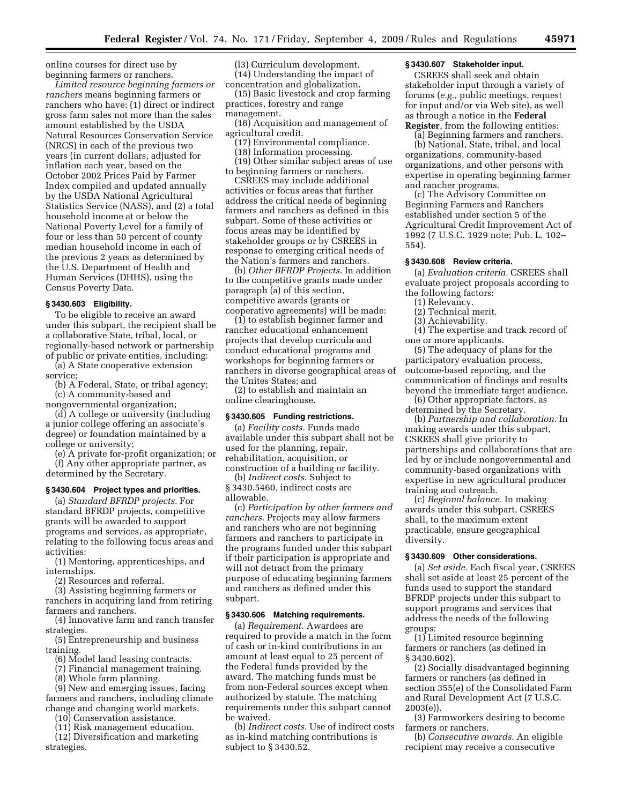online courses for direct use by beginning farmers or ranchers.

*Limited resource beginning farmers or ranchers* means beginning farmers or ranchers who have: (1) direct or indirect gross farm sales not more than the sales amount established by the USDA Natural Resources Conservation Service (NRCS) in each of the previous two years (in current dollars, adjusted for inflation each year, based on the October 2002 Prices Paid by Farmer Index compiled and updated annually by the USDA National Agricultural Statistics Service (NASS), and (2) a total household income at or below the National Poverty Level for a family of four or less than 50 percent of county median household income in each of the previous 2 years as determined by the U.S. Department of Health and Human Services (DHHS), using the Census Poverty Data.

#### **§ 3430.603 Eligibility.**

To be eligible to receive an award under this subpart, the recipient shall be a collaborative State, tribal, local, or regionally-based network or partnership of public or private entities, including:

(a) A State cooperative extension service;

(b) A Federal, State, or tribal agency; (c) A community-based and nongovernmental organization;

(d) A college or university (including a junior college offering an associate's degree) or foundation maintained by a college or university;

(e) A private for-profit organization; or (f) Any other appropriate partner, as determined by the Secretary.

#### **§ 3430.604 Project types and priorities.**

(a) *Standard BFRDP projects.* For standard BFRDP projects, competitive grants will be awarded to support programs and services, as appropriate, relating to the following focus areas and activities:

(1) Mentoring, apprenticeships, and internships.

(2) Resources and referral.

(3) Assisting beginning farmers or ranchers in acquiring land from retiring farmers and ranchers.

(4) Innovative farm and ranch transfer strategies.

(5) Entrepreneurship and business training.

(6) Model land leasing contracts.

(7) Financial management training.

(8) Whole farm planning.

(9) New and emerging issues, facing farmers and ranchers, including climate change and changing world markets.

(10) Conservation assistance.

(11) Risk management education.

(12) Diversification and marketing strategies.

(l3) Curriculum development. (14) Understanding the impact of concentration and globalization.

(15) Basic livestock and crop farming practices, forestry and range management.

(16) Acquisition and management of agricultural credit.

- (17) Environmental compliance.
- (18) Information processing.

(19) Other similar subject areas of use to beginning farmers or ranchers.

CSREES may include additional activities or focus areas that further address the critical needs of beginning farmers and ranchers as defined in this subpart. Some of these activities or focus areas may be identified by stakeholder groups or by CSREES in response to emerging critical needs of the Nation's farmers and ranchers.

(b) *Other BFRDP Projects.* In addition to the competitive grants made under paragraph (a) of this section, competitive awards (grants or cooperative agreements) will be made:

(1) to establish beginner farmer and rancher educational enhancement projects that develop curricula and conduct educational programs and workshops for beginning farmers or ranchers in diverse geographical areas of the Unites States; and

(2) to establish and maintain an online clearinghouse.

#### **§ 3430.605 Funding restrictions.**

(a) *Facility costs.* Funds made available under this subpart shall not be used for the planning, repair, rehabilitation, acquisition, or construction of a building or facility.

(b) *Indirect costs.* Subject to § 3430.5460, indirect costs are allowable.

(c) *Participation by other farmers and ranchers.* Projects may allow farmers and ranchers who are not beginning farmers and ranchers to participate in the programs funded under this subpart if their participation is appropriate and will not detract from the primary purpose of educating beginning farmers and ranchers as defined under this subpart.

#### **§ 3430.606 Matching requirements.**

(a) *Requirement.* Awardees are required to provide a match in the form of cash or in-kind contributions in an amount at least equal to 25 percent of the Federal funds provided by the award. The matching funds must be from non-Federal sources except when authorized by statute. The matching requirements under this subpart cannot be waived.

(b) *Indirect costs.* Use of indirect costs as in-kind matching contributions is subject to § 3430.52.

#### **§ 3430.607 Stakeholder input.**

CSREES shall seek and obtain stakeholder input through a variety of forums (*e.g.,* public meetings, request for input and/or via Web site), as well as through a notice in the **Federal Register**, from the following entities:

(a) Beginning farmers and ranchers.

(b) National, State, tribal, and local organizations, community-based organizations, and other persons with expertise in operating beginning farmer and rancher programs.

(c) The Advisory Committee on Beginning Farmers and Ranchers established under section 5 of the Agricultural Credit Improvement Act of 1992 (7 U.S.C. 1929 note; Pub. L. 102– 554).

#### **§ 3430.608 Review criteria.**

(a) *Evaluation criteria.* CSREES shall evaluate project proposals according to the following factors:

- (1) Relevancy.
- (2) Technical merit.
- (3) Achievability.

(4) The expertise and track record of one or more applicants.

(5) The adequacy of plans for the participatory evaluation process, outcome-based reporting, and the communication of findings and results beyond the immediate target audience.

(6) Other appropriate factors, as determined by the Secretary.

(b) *Partnership and collaboration.* In making awards under this subpart, CSREES shall give priority to partnerships and collaborations that are led by or include nongovernmental and community-based organizations with expertise in new agricultural producer training and outreach.

(c) *Regional balance.* In making awards under this subpart, CSREES shall, to the maximum extent practicable, ensure geographical diversity.

#### **§ 3430.609 Other considerations.**

(a) *Set aside.* Each fiscal year, CSREES shall set aside at least 25 percent of the funds used to support the standard BFRDP projects under this subpart to support programs and services that address the needs of the following groups:

(1) Limited resource beginning farmers or ranchers (as defined in § 3430.602)

(2) Socially disadvantaged beginning farmers or ranchers (as defined in section 355(e) of the Consolidated Farm and Rural Development Act (7 U.S.C. 2003(e)).

(3) Farmworkers desiring to become farmers or ranchers.

(b) *Consecutive awards.* An eligible recipient may receive a consecutive